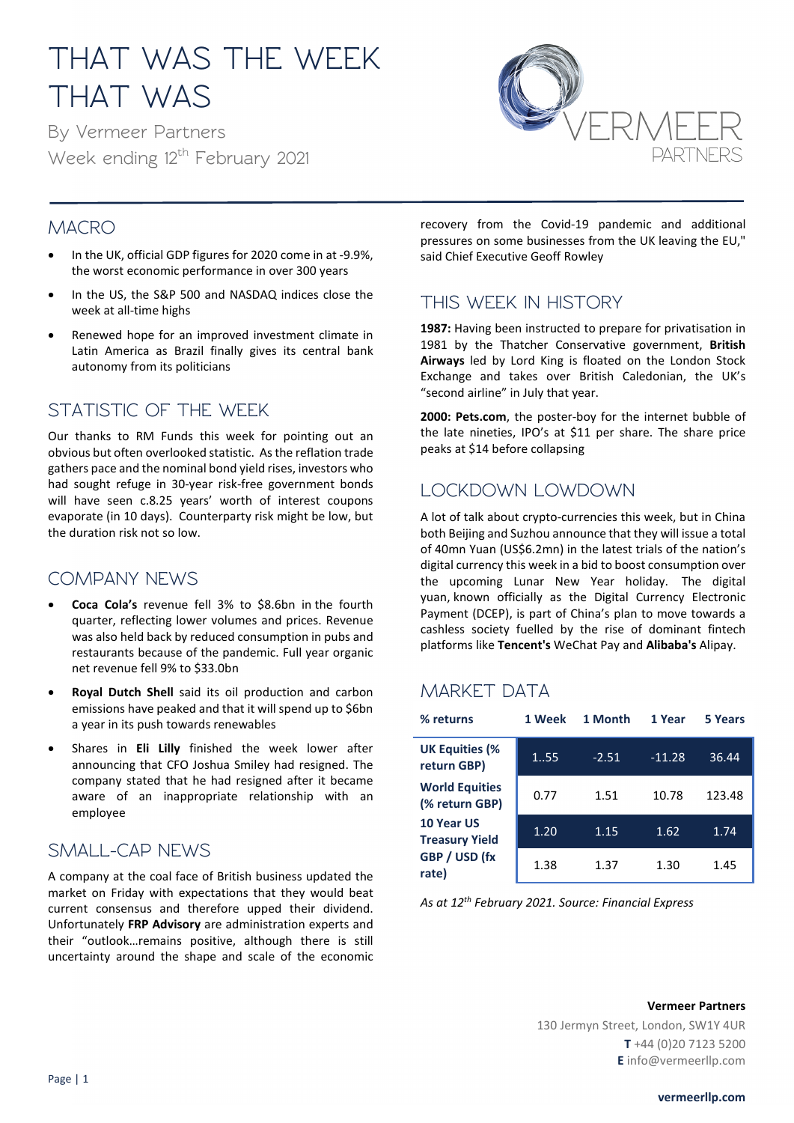# **THAT WAS THE WEEK THAT WAS**

**By Vermeer Partners Week ending 12th February 2021**



#### **MACRO**

- In the UK, official GDP figures for 2020 come in at -9.9%, the worst economic performance in over 300 years
- In the US, the S&P 500 and NASDAQ indices close the week at all-time highs
- Renewed hope for an improved investment climate in Latin America as Brazil finally gives its central bank autonomy from its politicians

## **STATISTIC OF THE WEEK**

Our thanks to RM Funds this week for pointing out an obvious but often overlooked statistic. As the reflation trade gathers pace and the nominal bond yield rises, investors who had sought refuge in 30-year risk-free government bonds will have seen c.8.25 years' worth of interest coupons evaporate (in 10 days). Counterparty risk might be low, but the duration risk not so low.

## **COMPANY NEWS**

- **Coca Cola's** revenue fell 3% to \$8.6bn in the fourth quarter, reflecting lower volumes and prices. Revenue was also held back by reduced consumption in pubs and restaurants because of the pandemic. Full year organic net revenue fell 9% to \$33.0bn
- **Royal Dutch Shell** said its oil production and carbon emissions have peaked and that it will spend up to \$6bn a year in its push towards renewables
- Shares in **Eli Lilly** finished the week lower after announcing that CFO Joshua Smiley had resigned. The company stated that he had resigned after it became aware of an inappropriate relationship with an employee

## **SMALL-CAP NEWS**

A company at the coal face of British business updated the market on Friday with expectations that they would beat current consensus and therefore upped their dividend. Unfortunately **FRP Advisory** are administration experts and their "outlook…remains positive, although there is still uncertainty around the shape and scale of the economic

recovery from the Covid-19 pandemic and additional pressures on some businesses from the UK leaving the EU," said Chief Executive Geoff Rowley

#### **THIS WEEK IN HISTORY**

**1987:** Having been instructed to prepare for privatisation in 1981 by the Thatcher Conservative government, **British Airways** led by Lord King is floated on the London Stock Exchange and takes over British Caledonian, the UK's "second airline" in July that year.

**2000: Pets.com**, the poster-boy for the internet bubble of the late nineties, IPO's at \$11 per share. The share price peaks at \$14 before collapsing

## **LOCKDOWN LOWDOWN**

A lot of talk about crypto-currencies this week, but in China both Beijing and Suzhou announce that they will issue a total of 40mn Yuan (US\$6.2mn) in the latest trials of the nation's digital currency this week in a bid to boost consumption over the upcoming Lunar New Year holiday. [The digital](https://www.scmp.com/economy/china-economy/article/3113786/chinas-digital-currency-no-threat-global-monetary-systems)  [yuan,](https://www.scmp.com/economy/china-economy/article/3113786/chinas-digital-currency-no-threat-global-monetary-systems) known officially as the Digital Currency Electronic Payment (DCEP), is part of China's plan to move towards a cashless society fuelled by the rise of dominant fintech platforms like **Tencent's** WeChat Pay and **Alibaba's** Alipay.

## **MARKET DATA**

| % returns                               | 1 Week | 1 Month | 1 Year   | <b>5 Years</b> |
|-----------------------------------------|--------|---------|----------|----------------|
| <b>UK Equities (%</b><br>return GBP)    | 1.55   | $-2.51$ | $-11.28$ | 36.44          |
| <b>World Equities</b><br>(% return GBP) | 0.77   | 1.51    | 10.78    | 123.48         |
| 10 Year US<br><b>Treasury Yield</b>     | 1.20   | 1.15    | 1.62     | 1.74           |
| GBP / USD (fx<br>rate)                  | 1.38   | 1.37    | 1.30     | 1.45           |

*As at 12th February 2021. Source: Financial Express*

#### **Vermeer Partners**

130 Jermyn Street, London, SW1Y 4UR **T** +44 (0)20 7123 5200 **E** info@vermeerllp.com